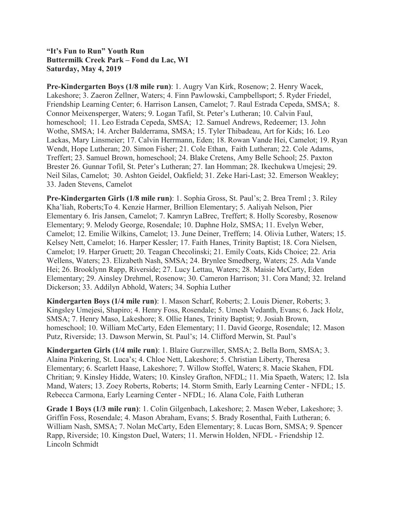**"It's Fun to Run" Youth Run Buttermilk Creek Park – Fond du Lac, WI Saturday, May 4, 2019**

**Pre-Kindergarten Boys (1/8 mile run)**: 1. Augry Van Kirk, Rosenow; 2. Henry Wacek, Lakeshore; 3. Zaeron Zellner, Waters; 4. Finn Pawlowski, Campbellsport; 5. Ryder Friedel, Friendship Learning Center; 6. Harrison Lansen, Camelot; 7. Raul Estrada Cepeda, SMSA; 8. Connor Meixensperger, Waters; 9. Logan Tafil, St. Peter's Lutheran; 10. Calvin Faul, homeschool; 11. Leo Estrada Cepeda, SMSA; 12. Samuel Andrews, Redeemer; 13. John Wothe, SMSA; 14. Archer Balderrama, SMSA; 15. Tyler Thibadeau, Art for Kids; 16. Leo Lackas, Mary Linsmeier; 17. Calvin Herrmann, Eden; 18. Rowan Vande Hei, Camelot; 19. Ryan Wendt, Hope Lutheran; 20. Simon Fisher; 21. Cole Ethan, Faith Lutheran; 22. Cole Adams, Treffert; 23. Samuel Brown, homeschool; 24. Blake Cretens, Amy Belle School; 25. Paxton Brester 26. Gunnar Tofil, St. Peter's Lutheran; 27. Ian Homman; 28. Ikechukwa Umejesi; 29. Neil Silas, Camelot; 30. Ashton Geidel, Oakfield; 31. Zeke Hari-Last; 32. Emerson Weakley; 33. Jaden Stevens, Camelot

**Pre-Kindergarten Girls (1/8 mile run)**: 1. Sophia Gross, St. Paul's; 2. Brea Treml ; 3. Riley Kha'liah, Roberts;To 4. Kenzie Harmer, Brillion Elementary; 5. Aaliyah Nelson, Pier Elementary 6. Iris Jansen, Camelot; 7. Kamryn LaBrec, Treffert; 8. Holly Scoresby, Rosenow Elementary; 9. Melody George, Rosendale; 10. Daphne Holz, SMSA; 11. Evelyn Weber, Camelot; 12. Emilie Wilkins, Camelot; 13. June Deiner, Treffern; 14. Olivia Luther, Waters; 15. Kelsey Nett, Camelot; 16. Harper Kessler; 17. Faith Hanes, Trinity Baptist; 18. Cora Nielsen, Camelot; 19. Harper Gruett; 20. Teagan Checolinski; 21. Emily Coats, Kids Choice; 22. Aria Wellens, Waters; 23. Elizabeth Nash, SMSA; 24. Brynlee Smedberg, Waters; 25. Ada Vande Hei; 26. Brooklynn Rapp, Riverside; 27. Lucy Lettau, Waters; 28. Maisie McCarty, Eden Elementary; 29. Ainsley Drehmel, Rosenow; 30. Cameron Harrison; 31. Cora Mand; 32. Ireland Dickerson; 33. Addilyn Abhold, Waters; 34. Sophia Luther

**Kindergarten Boys (1/4 mile run)**: 1. Mason Scharf, Roberts; 2. Louis Diener, Roberts; 3. Kingsley Umejesi, Shapiro; 4. Henry Foss, Rosendale; 5. Umesh Vedanth, Evans; 6. Jack Holz, SMSA; 7. Henry Maso, Lakeshore; 8. Ollie Hanes, Trinity Baptist; 9. Josiah Brown, homeschool; 10. William McCarty, Eden Elementary; 11. David George, Rosendale; 12. Mason Putz, Riverside; 13. Dawson Merwin, St. Paul's; 14. Clifford Merwin, St. Paul's

**Kindergarten Girls (1/4 mile run)**: 1. Blaire Gurzwiller, SMSA; 2. Bella Born, SMSA; 3. Alaina Pinkering, St. Luca's; 4. Chloe Nett, Lakeshore; 5. Christian Liberty, Theresa Elementary; 6. Scarlett Haase, Lakeshore; 7. Willow Stoffel, Waters; 8. Macie Skahen, FDL Chritian; 9. Kinsley Hidde, Waters; 10. Kinsley Grafton, NFDL; 11. Mia Spaeth, Waters; 12. Isla Mand, Waters; 13. Zoey Roberts, Roberts; 14. Storm Smith, Early Learning Center - NFDL; 15. Rebecca Carmona, Early Learning Center - NFDL; 16. Alana Cole, Faith Lutheran

**Grade 1 Boys (1/3 mile run)**: 1. Colin Gilgenbach, Lakeshore; 2. Masen Weber, Lakeshore; 3. Griffin Foss, Rosendale; 4. Mason Abraham, Evans; 5. Brady Rosenthal, Faith Lutheran; 6. William Nash, SMSA; 7. Nolan McCarty, Eden Elementary; 8. Lucas Born, SMSA; 9. Spencer Rapp, Riverside; 10. Kingston Duel, Waters; 11. Merwin Holden, NFDL - Friendship 12. Lincoln Schmidt